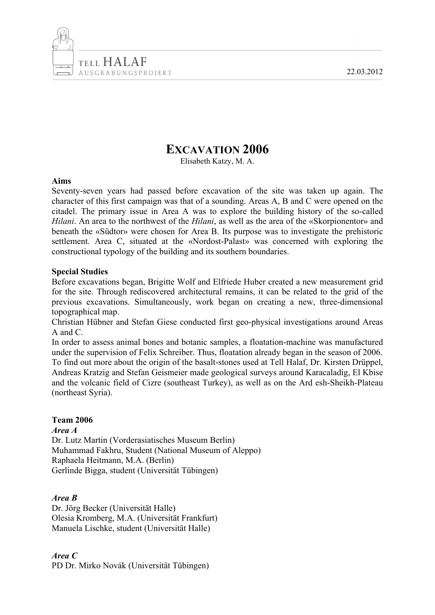22.03.2012



# **EXCAVATION 2006**

Elisabeth Katzy, M. A.

## **Aims**

Seventy-seven years had passed before excavation of the site was taken up again. The character of this first campaign was that of a sounding. Areas A, B and C were opened on the citadel. The primary issue in Area A was to explore the building history of the so-called *Hilani*. An area to the northwest of the *Hilani*, as well as the area of the «Skorpionentor» and beneath the «Südtor» were chosen for Area B. Its purpose was to investigate the prehistoric settlement. Area C, situated at the «Nordost-Palast» was concerned with exploring the constructional typology of the building and its southern boundaries.

## **Special Studies**

Before excavations began, Brigitte Wolf and Elfriede Huber created a new measurement grid for the site. Through rediscovered architectural remains, it can be related to the grid of the previous excavations. Simultaneously, work began on creating a new, three-dimensional topographical map.

Christian Hübner and Stefan Giese conducted first geo-physical investigations around Areas A and C.

In order to assess animal bones and botanic samples, a floatation-machine was manufactured under the supervision of Felix Schreiber. Thus, floatation already began in the season of 2006. To find out more about the origin of the basalt-stones used at Tell Halaf, Dr. Kirsten Drüppel, Andreas Kratzig and Stefan Geismeier made geological surveys around Karacaladig, El Kbise and the volcanic field of Cizre (southeast Turkey), as well as on the Ard esh-Sheikh-Plateau (northeast Syria).

# **Team 2006**

*Area A*

Dr. Lutz Martin (Vorderasiatisches Museum Berlin) Muhammad Fakhru, Student (National Museum of Aleppo) Raphaela Heitmann, M.A. (Berlin) Gerlinde Bigga, student (Universität Tübingen)

# *Area B*

Dr. Jörg Becker (Universität Halle) Olesia Kromberg, M.A. (Universität Frankfurt) Manuela Lischke, student (Universität Halle)

*Area C* PD Dr. Mirko Novák (Universität Tübingen)